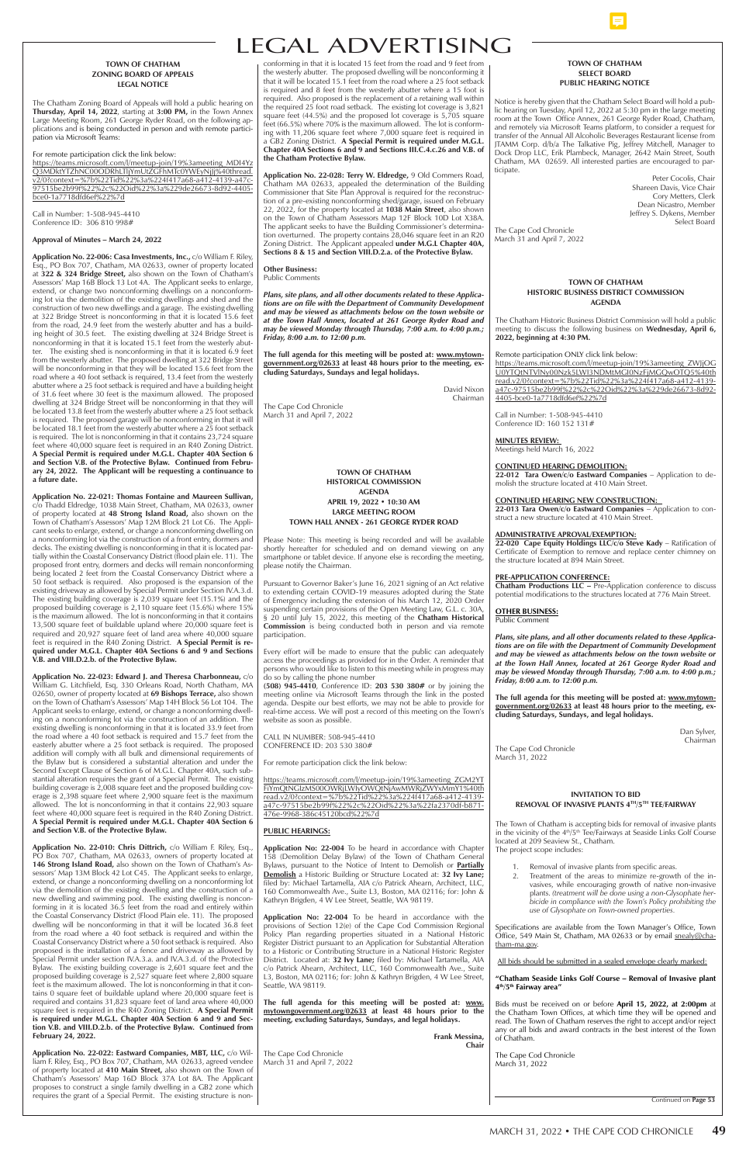# LEGAL ADVERTISING

#### **TOWN OF CHATHAM SELECT BOARD PUBLIC HEARING NOTICE**

Notice is hereby given that the Chatham Select Board will hold a public hearing on Tuesday, April 12, 2022 at 5:30 pm in the large meeting room at the Town Office Annex, 261 George Ryder Road, Chatham, and remotely via Microsoft Teams platform, to consider a request for transfer of the Annual All Alcoholic Beverages Restaurant license from JTAMM Corp. d/b/a The Talkative Pig, Jeffrey Mitchell, Manager to Dock Drop LLC, Erik Plambeck, Manager, 2642 Main Street, South Chatham, MA 02659. All interested parties are encouraged to participate.

> Peter Cocolis, Chair Shareen Davis, Vice Chair Cory Metters, Clerk Dean Nicastro, Member Jeffrey S. Dykens, Member Select Board

The Cape Cod Chronicle March 31 and April 7, 2022

## **TOWN OF CHATHAM HISTORIC BUSINESS DISTRICT COMMISSION AGENDA**

The Chatham Historic Business District Commission will hold a public meeting to discuss the following business on **Wednesday, April 6, 2022, beginning at 4:30 PM.**

#### Remote participation ONLY click link below:

https://teams.microsoft.com/l/meetup-join/19%3ameeting\_ZWJjOG U0YTQtNTVlNy00Nzk5LWI3NDMtMGI0NzFjMGQwOTQ5%40th read.v2/0?context=%7b%22Tid%22%3a%224f417a68-a412-4139 a47c-97515be2b99f%22%2c%22Oid%22%3a%229de26673-8d92- 4405-bce0-1a7718dfd6ef%22%7d

Call in Number: 1-508-945-4410 Conference ID: 160 152 131#

**MINUTES REVIEW:**  Meetings held March 16, 2022

# **CONTINUED HEARING DEMOLITION:**

**22-012 Tara Owen/c/o Eastward Companies** – Application to demolish the structure located at 410 Main Street.

# **CONTINUED HEARING NEW CONSTRUCTION:**

**22-013 Tara Owen/c/o Eastward Companies** – Application to construct a new structure located at 410 Main Street.

#### **ADMINISTRATIVE APROVAL/EXEMPTION:**

**22-020 Cape Equity Holdings LLC/c/o Steve Kady** – Ratification of Certificate of Exemption to remove and replace center chimney on the structure located at 894 Main Street.

#### **PRE-APPLICATION CONFERENCE:**

**Chatham Productions LLC –** Pre-Application conference to discuss potential modifications to the structures located at 776 Main Street.

#### **OTHER BUSINESS:** Public Comment

*Plans, site plans, and all other documents related to these Applications are on file with the Department of Community Development and may be viewed as attachments below on the town website or at the Town Hall Annex, located at 261 George Ryder Road and may be viewed Monday through Thursday, 7:00 a.m. to 4:00 p.m.; Friday, 8:00 a.m. to 12:00 p.m.*

**The full agenda for this meeting will be posted at: www.mytowngovernment.org/02633 at least 48 hours prior to the meeting, excluding Saturdays, Sundays, and legal holidays.**

> Dan Sylver, Chairman

The Cape Cod Chronicle March 31, 2022

conforming in that it is located 15 feet from the road and 9 feet from the westerly abutter. The proposed dwelling will be nonconforming it that it will be located 15.1 feet from the road where a 25 foot setback is required and 8 feet from the westerly abutter where a 15 foot is required. Also proposed is the replacement of a retaining wall within the required 25 foot road setback. The existing lot coverage is 3,821 square feet (44.5%) and the proposed lot coverage is 5,705 square feet (66.5%) where 70% is the maximum allowed. The lot is conforming with 11,206 square feet where 7,000 square feet is required in a GB2 Zoning District. **A Special Permit is required under M.G.L. Chapter 40A Sections 6 and 9 and Sections III.C.4.c.26 and V.B. of the Chatham Protective Bylaw.**

**Application No. 22-028: Terry W. Eldredge,** 9 Old Commers Road, Chatham MA 02633, appealed the determination of the Building Commissioner that Site Plan Approval is required for the reconstruction of a pre-existing nonconforming shed/garage, issued on February 22, 2022, for the property located at **1038 Main Street**, also shown on the Town of Chatham Assessors Map 12F Block 10D Lot X38A. The applicant seeks to have the Building Commissioner's determination overturned. The property contains 28,046 square feet in an R20 Zoning District. The Applicant appealed **under M.G.L Chapter 40A, Sections 8 & 15 and Section VIII.D.2.a. of the Protective Bylaw.** 

**Other Business:** Public Comments

*Plans, site plans, and all other documents related to these Applications are on file with the Department of Community Development and may be viewed as attachments below on the town website or at the Town Hall Annex, located at 261 George Ryder Road and may be viewed Monday through Thursday, 7:00 a.m. to 4:00 p.m.; Friday, 8:00 a.m. to 12:00 p.m.*

**The full agenda for this meeting will be posted at: www.mytowngovernment.org/02633 at least 48 hours prior to the meeting, excluding Saturdays, Sundays and legal holidays.**

> David Nixon Chairman

The Cape Cod Chronicle March 31 and April 7, 2022

## **TOWN OF CHATHAM ZONING BOARD OF APPEALS LEGAL NOTICE**

The Chatham Zoning Board of Appeals will hold a public hearing on **Thursday, April 14, 2022**, starting at **3:00 PM,** in the Town Annex Large Meeting Room, 261 George Ryder Road, on the following applications and is being conducted in person and with remote participation via Microsoft Teams:

For remote participation click the link below:

https://teams.microsoft.com/l/meetup-join/19%3ameeting\_MDI4Yz Q3MDktYTZhNC00ODRhLTljYmUtZGFhMTc0YWEyNjJj%40thread. v2/0?context=%7b%22Tid%22%3a%224f417a68-a412-4139-a47c-97515be2b99f%22%2c%22Oid%22%3a%229de26673-8d92-4405 bce0-1a7718dfd6ef%22%7d

Call in Number: 1-508-945-4410 Conference ID: 306 810 998#

#### **Approval of Minutes – March 24, 2022**

**Application No. 22-006: Casa Investments, Inc.,** c/o William F. Riley, Esq., PO Box 707, Chatham, MA 02633, owner of property located at **322 & 324 Bridge Street,** also shown on the Town of Chatham's Assessors' Map 16B Block 13 Lot 4A. The Applicant seeks to enlarge, extend, or change two nonconforming dwellings on a nonconforming lot via the demolition of the existing dwellings and shed and the construction of two new dwellings and a garage. The existing dwelling at 322 Bridge Street is nonconforming in that it is located 15.6 feet from the road, 24.9 feet from the westerly abutter and has a building height of 30.5 feet. The existing dwelling at 324 Bridge Street is nonconforming in that it is located 15.1 feet from the westerly abutter. The existing shed is nonconforming in that it is located 6.9 feet from the westerly abutter. The proposed dwelling at 322 Bridge Street will be nonconforming in that they will be located 15.6 feet from the road where a 40 foot setback is required, 13.4 feet from the westerly abutter where a 25 foot setback is required and have a building height of 31.6 feet where 30 feet is the maximum allowed. The proposed dwelling at 324 Bridge Street will be nonconforming in that they will be located 13.8 feet from the westerly abutter where a 25 foot setback is required. The proposed garage will be nonconforming in that it will be located 18.1 feet from the westerly abutter where a 25 foot setback is required. The lot is nonconforming in that it contains 23,724 square feet where 40,000 square feet is required in an R40 Zoning District. **A Special Permit is required under M.G.L. Chapter 40A Section 6 and Section V.B. of the Protective Bylaw. Continued from February 24, 2022. The Applicant will be requesting a continuance to a future date.** 

| Application No. 22-010: Chris Dittrich, C/O William F. Kiley, Esq.,<br>PO Box 707, Chatham, MA 02633, owners of property located at<br>146 Strong Island Road, also shown on the Town of Chatham's As-<br>sessors' Map 13M Block 42 Lot C45. The Applicant seeks to enlarge,<br>extend, or change a nonconforming dwelling on a nonconforming lot<br>via the demolition of the existing dwelling and the construction of a<br>new dwelling and swimming pool. The existing dwelling is noncon-<br>forming in it is located 36.5 feet from the road and entirely within<br>the Coastal Conservancy District (Flood Plain ele. 11). The proposed | <b>Application No: 22-004</b> to be heard in accordance with Chapter<br>158 (Demolition Delay Bylaw) of the Town of Chatham General<br>Bylaws, pursuant to the Notice of Intent to Demolish or <b>Partially</b><br>Demolish a Historic Building or Structure Located at: 32 Ivy Lane;<br>filed by: Michael Tartamella, AIA c/o Patrick Ahearn, Architect, LLC,<br>160 Commonwealth Ave., Suite L3, Boston, MA 02116; for: John &<br>Kathryn Brigden, 4 W Lee Street, Seattle, WA 98119.<br><b>Application No: 22-004</b> To be heard in accordance with the | The project scope includes:<br>Removal of invasive plants from specific areas.<br>Treatment of the areas to minimize re-growth of the in-<br>vasives, while encouraging growth of native non-invasive<br>plants. (treatment will be done using a non-Glysophate her-<br>bicide in compliance with the Town's Policy prohibiting the<br>use of Glysophate on Town-owned properties. |
|------------------------------------------------------------------------------------------------------------------------------------------------------------------------------------------------------------------------------------------------------------------------------------------------------------------------------------------------------------------------------------------------------------------------------------------------------------------------------------------------------------------------------------------------------------------------------------------------------------------------------------------------|-------------------------------------------------------------------------------------------------------------------------------------------------------------------------------------------------------------------------------------------------------------------------------------------------------------------------------------------------------------------------------------------------------------------------------------------------------------------------------------------------------------------------------------------------------------|------------------------------------------------------------------------------------------------------------------------------------------------------------------------------------------------------------------------------------------------------------------------------------------------------------------------------------------------------------------------------------|
| dwelling will be nonconforming in that it will be located 36.8 feet<br>from the road where a 40 foot setback is required and within the<br>Coastal Conservancy District where a 50 foot setback is required. Also<br>proposed is the installation of a fence and driveway as allowed by<br>Special Permit under section IV.A.3.a. and IV.A.3.d. of the Protective                                                                                                                                                                                                                                                                              | provisions of Section 12(e) of the Cape Cod Commission Regional<br>Policy Plan regarding properties situated in a National Historic<br>Register District pursuant to an Application for Substantial Alteration<br>to a Historic or Contributing Structure in a National Historic Register<br>District. Located at: 32 Ivy Lane; filed by: Michael Tartamella, AIA                                                                                                                                                                                           | Specifications are available from the Town Manager's Office, Town<br>Office, 549 Main St, Chatham, MA 02633 or by email snealy@cha-<br>tham-ma.gov.<br>All bids should be submitted in a sealed envelope clearly marked:                                                                                                                                                           |
| Bylaw. The existing building coverage is 2,601 square feet and the<br>proposed building coverage is 2,527 square feet where 2,800 square<br>feet is the maximum allowed. The lot is nonconforming in that it con-<br>tains 0 square feet of buildable upland where 20,000 square feet is                                                                                                                                                                                                                                                                                                                                                       | c/o Patrick Ahearn, Architect, LLC, 160 Commonwealth Ave., Suite<br>L3, Boston, MA 02116; for: John & Kathryn Brigden, 4 W Lee Street,<br>Seattle, WA 98119.                                                                                                                                                                                                                                                                                                                                                                                                | "Chatham Seaside Links Golf Course – Removal of Invasive plant<br>4 <sup>th</sup> /5 <sup>th</sup> Fairway area"                                                                                                                                                                                                                                                                   |
| required and contains 31,823 square feet of land area where 40,000<br>square feet is required in the R40 Zoning District. A Special Permit<br>is required under M.G.L. Chapter 40A Section 6 and 9 and Sec-<br>tion V.B. and VIII.D.2.b. of the Protective Bylaw. Continued from<br>February 24, 2022.                                                                                                                                                                                                                                                                                                                                         | The full agenda for this meeting will be posted at: www.<br>mytowngovernment.org/02633 at least 48 hours prior to the<br>meeting, excluding Saturdays, Sundays, and legal holidays.<br>Frank Messina,                                                                                                                                                                                                                                                                                                                                                       | Bids must be received on or before April 15, 2022, at 2:00pm at<br>the Chatham Town Offices, at which time they will be opened and<br>read. The Town of Chatham reserves the right to accept and/or reject<br>any or all bids and award contracts in the best interest of the Town<br>of Chatham.                                                                                  |
| Application No. 22-022: Eastward Companies, MBT, LLC, c/o Wil-                                                                                                                                                                                                                                                                                                                                                                                                                                                                                                                                                                                 | Chair<br>The Cape Cod Chronicle                                                                                                                                                                                                                                                                                                                                                                                                                                                                                                                             | The Cape Cod Chronicle                                                                                                                                                                                                                                                                                                                                                             |
| liam F. Riley, Esq., PO Box 707, Chatham, MA 02633, agreed vendee<br>of property located at 410 Main Street, also shown on the Town of<br>Chatham's Assessors' Map 16D Block 37A Lot 8A. The Applicant<br>proposes to construct a single family dwelling in a GB2 zone which<br>requires the grant of a Special Permit. The existing structure is non-                                                                                                                                                                                                                                                                                         | March 31 and April 7, 2022                                                                                                                                                                                                                                                                                                                                                                                                                                                                                                                                  | March 31, 2022                                                                                                                                                                                                                                                                                                                                                                     |
|                                                                                                                                                                                                                                                                                                                                                                                                                                                                                                                                                                                                                                                |                                                                                                                                                                                                                                                                                                                                                                                                                                                                                                                                                             | Continued on Page 53                                                                                                                                                                                                                                                                                                                                                               |

**Application No. 22-021: Thomas Fontaine and Maureen Sullivan,**  c/o Thadd Eldredge, 1038 Main Street, Chatham, MA 02633, owner of property located at **48 Strong Island Road,** also shown on the Town of Chatham's Assessors' Map 12M Block 21 Lot C6. The Applicant seeks to enlarge, extend, or change a nonconforming dwelling on a nonconforming lot via the construction of a front entry, dormers and decks. The existing dwelling is nonconforming in that it is located partially within the Coastal Conservancy District (flood plain ele. 11). The proposed front entry, dormers and decks will remain nonconforming being located 2 feet from the Coastal Conservancy District where a 50 foot setback is required. Also proposed is the expansion of the existing driveway as allowed by Special Permit under Section IV.A.3.d. The existing building coverage is 2,039 square feet (15.1%) and the proposed building coverage is 2,110 square feet (15.6%) where 15% is the maximum allowed. The lot is nonconforming in that it contains 13,500 square feet of buildable upland where 20,000 square feet is required and 20,927 square feet of land area where 40,000 square feet is required in the R40 Zoning District. **A Special Permit is required under M.G.L. Chapter 40A Sections 6 and 9 and Sections V.B. and VIII.D.2.b. of the Protective Bylaw.** 

**Application No. 22-023: Edward J. and Theresa Charbonneau,** c/o William G. Litchfield, Esq, 330 Orleans Road, North Chatham, MA 02650, owner of property located at **69 Bishops Terrace,** also shown on the Town of Chatham's Assessors' Map 14H Block 56 Lot 104. The Applicant seeks to enlarge, extend, or change a nonconforming dwelling on a nonconforming lot via the construction of an addition. The existing dwelling is nonconforming in that it is located 33.9 feet from the road where a 40 foot setback is required and 15.7 feet from the easterly abutter where a 25 foot setback is required. The proposed addition will comply with all bulk and dimensional requirements of the Bylaw but is considered a substantial alteration and under the Second Except Clause of Section 6 of M.G.L. Chapter 40A, such substantial alteration requires the grant of a Special Permit. The existing building coverage is 2,008 square feet and the proposed building coverage is 2,398 square feet where 2,900 square feet is the maximum allowed. The lot is nonconforming in that it contains 22,903 square feet where 40,000 square feet is required in the R40 Zoning District. **A Special Permit is required under M.G.L. Chapter 40A Section 6 and Section V.B. of the Protective Bylaw.** 

**Application No. 22-010: Chris Dittrich,** c/o William F. Riley, Esq.,

**TOWN OF CHATHAM HISTORICAL COMMISSION AGENDA APRIL 19, 2022 • 10:30 AM LARGE MEETING ROOM TOWN HALL ANNEX - 261 GEORGE RYDER ROAD**

Please Note: This meeting is being recorded and will be available shortly hereafter for scheduled and on demand viewing on any sholdy iterctive. It concentral and the meeting, smartphone or tablet device. If anyone else is recording the meeting, please notify the Chairman.

Pursuant to Governor Baker's June 16, 2021 signing of an Act relative to extending certain COVID-19 measures adopted during the State of Emergency including the extension of his March 12, 2020 Order suspending certain provisions of the Open Meeting Law, G.L. c. 30A, § 20 until July 15, 2022, this meeting of the **Chatham Historical Commission** is being conducted both in person and via remote participation.

Every effort will be made to ensure that the public can adequately access the proceedings as provided for in the Order. A reminder that persons who would like to listen to this meeting while in progress may do so by calling the phone number

**(508) 945-4410**, Conference ID: **203 530 380#** or by joining the meeting online via Microsoft Teams through the link in the posted agenda. Despite our best efforts, we may not be able to provide for real-time access. We will post a record of this meeting on the Town's website as soon as possible.

CALL IN NUMBER: 508-945-4410 CONFERENCE ID: 203 530 380#

For remote participation click the link below:

https://teams.microsoft.com/l/meetup-join/19%3ameeting\_ZGM2YT FiYmQtNGIzMS00OWRjLWIyOWQtNjAwMWRjZWYxMmY1%40th read.v2/0?context=%7b%22Tid%22%3a%224f417a68-a412-4139 a47c-97515be2b99f%22%2c%22Oid%22%3a%22fa2370df-b871- 476e-9968-386c45120bcd%22%7d

# **PUBLIC HEARINGS:**

**Application No: 22-004** To be heard in accordance with Chapter

# **INVITATION TO BID REMOVAL OF INVASIVE PLANTS 4TH/5TH TEE/FAIRWAY**

The Town of Chatham is accepting bids for removal of invasive plants in the vicinity of the 4<sup>th</sup>/5<sup>th</sup> Tee/Fairways at Seaside Links Golf Course located at 209 Seaview St., Chatham.